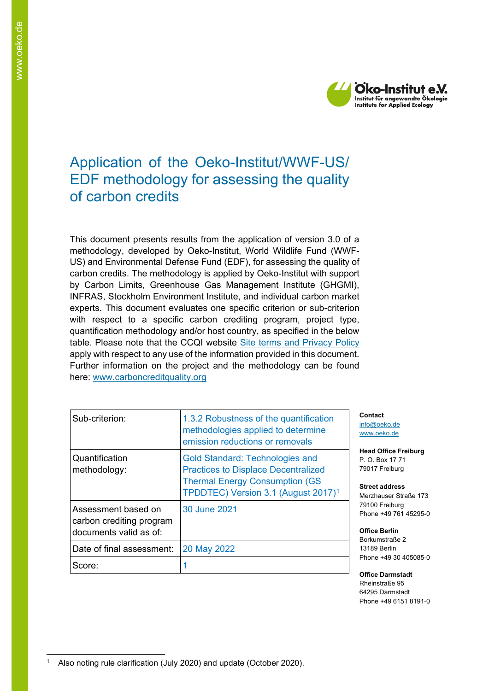

# Application of the Oeko-Institut/WWF-US/ EDF methodology for assessing the quality of carbon credits

This document presents results from the application of version 3.0 of a methodology, developed by Oeko-Institut, World Wildlife Fund (WWF-US) and Environmental Defense Fund (EDF), for assessing the quality of carbon credits. The methodology is applied by Oeko-Institut with support by Carbon Limits, Greenhouse Gas Management Institute (GHGMI), INFRAS, Stockholm Environment Institute, and individual carbon market experts. This document evaluates one specific criterion or sub-criterion with respect to a specific carbon crediting program, project type, quantification methodology and/or host country, as specified in the below table. Please note that the CCQI website [Site terms and Privacy Policy](https://carboncreditquality.org/terms.html) apply with respect to any use of the information provided in this document. Further information on the project and the methodology can be found here: [www.carboncreditquality.org](http://www.carboncreditquality.org/)

| Sub-criterion:                                                            | 1.3.2 Robustness of the quantification<br>methodologies applied to determine<br>emission reductions or removals                                                                   |
|---------------------------------------------------------------------------|-----------------------------------------------------------------------------------------------------------------------------------------------------------------------------------|
| Quantification<br>methodology:                                            | <b>Gold Standard: Technologies and</b><br><b>Practices to Displace Decentralized</b><br><b>Thermal Energy Consumption (GS)</b><br>TPDDTEC) Version 3.1 (August 2017) <sup>1</sup> |
| Assessment based on<br>carbon crediting program<br>documents valid as of: | 30 June 2021                                                                                                                                                                      |
| Date of final assessment:                                                 | 20 May 2022                                                                                                                                                                       |
| Score:                                                                    |                                                                                                                                                                                   |

**Contact** [info@oeko.de](mailto:info@oeko.de) [www.oeko.de](http://www.oeko.de/)

**Head Office Freiburg** P. O. Box 17 71 79017 Freiburg

**Street address** Merzhauser Straße 173 79100 Freiburg Phone +49 761 45295-0

**Office Berlin** Borkumstraße 2 13189 Berlin Phone +49 30 405085-0

**Office Darmstadt** Rheinstraße 95 64295 Darmstadt Phone +49 6151 8191-0

<span id="page-0-0"></span><sup>&</sup>lt;sup>1</sup> Also noting rule clarification (July 2020) and update (October 2020).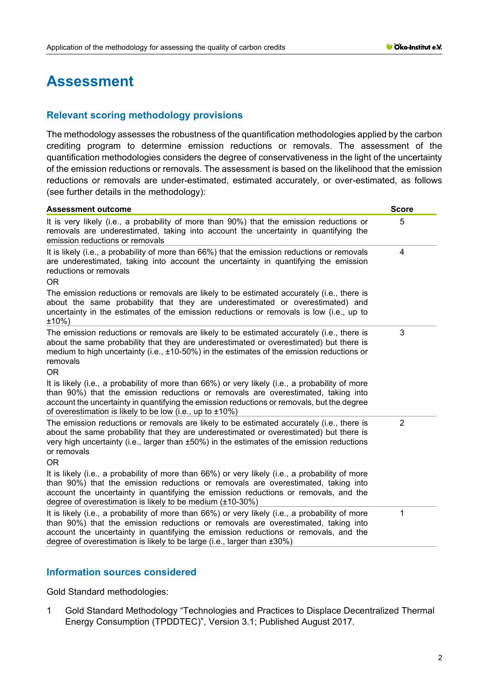# **Assessment**

# **Relevant scoring methodology provisions**

The methodology assesses the robustness of the quantification methodologies applied by the carbon crediting program to determine emission reductions or removals. The assessment of the quantification methodologies considers the degree of conservativeness in the light of the uncertainty of the emission reductions or removals. The assessment is based on the likelihood that the emission reductions or removals are under-estimated, estimated accurately, or over-estimated, as follows (see further details in the methodology):

| <b>Assessment outcome</b>                                                                                                                                                                                                                                                                                                                              | <b>Score</b>   |
|--------------------------------------------------------------------------------------------------------------------------------------------------------------------------------------------------------------------------------------------------------------------------------------------------------------------------------------------------------|----------------|
| It is very likely (i.e., a probability of more than 90%) that the emission reductions or<br>removals are underestimated, taking into account the uncertainty in quantifying the<br>emission reductions or removals                                                                                                                                     | 5              |
| It is likely (i.e., a probability of more than 66%) that the emission reductions or removals<br>are underestimated, taking into account the uncertainty in quantifying the emission<br>reductions or removals<br>OR                                                                                                                                    | 4              |
| The emission reductions or removals are likely to be estimated accurately (i.e., there is<br>about the same probability that they are underestimated or overestimated) and<br>uncertainty in the estimates of the emission reductions or removals is low (i.e., up to<br>±10%)                                                                         |                |
| The emission reductions or removals are likely to be estimated accurately (i.e., there is<br>about the same probability that they are underestimated or overestimated) but there is<br>medium to high uncertainty (i.e., $\pm$ 10-50%) in the estimates of the emission reductions or<br>removals<br>OR                                                | 3              |
| It is likely (i.e., a probability of more than 66%) or very likely (i.e., a probability of more<br>than 90%) that the emission reductions or removals are overestimated, taking into<br>account the uncertainty in quantifying the emission reductions or removals, but the degree<br>of overestimation is likely to be low (i.e., up to $\pm 10\%$ )  |                |
| The emission reductions or removals are likely to be estimated accurately (i.e., there is<br>about the same probability that they are underestimated or overestimated) but there is<br>very high uncertainty (i.e., larger than ±50%) in the estimates of the emission reductions<br>or removals<br>0R                                                 | $\overline{2}$ |
| It is likely (i.e., a probability of more than 66%) or very likely (i.e., a probability of more<br>than 90%) that the emission reductions or removals are overestimated, taking into<br>account the uncertainty in quantifying the emission reductions or removals, and the<br>degree of overestimation is likely to be medium $(\pm 10-30\%)$         |                |
| It is likely (i.e., a probability of more than 66%) or very likely (i.e., a probability of more<br>than 90%) that the emission reductions or removals are overestimated, taking into<br>account the uncertainty in quantifying the emission reductions or removals, and the<br>degree of overestimation is likely to be large (i.e., larger than ±30%) | 1              |

# **Information sources considered**

Gold Standard methodologies:

1 Gold Standard Methodology "Technologies and Practices to Displace Decentralized Thermal Energy Consumption (TPDDTEC)", Version 3.1; Published August 2017.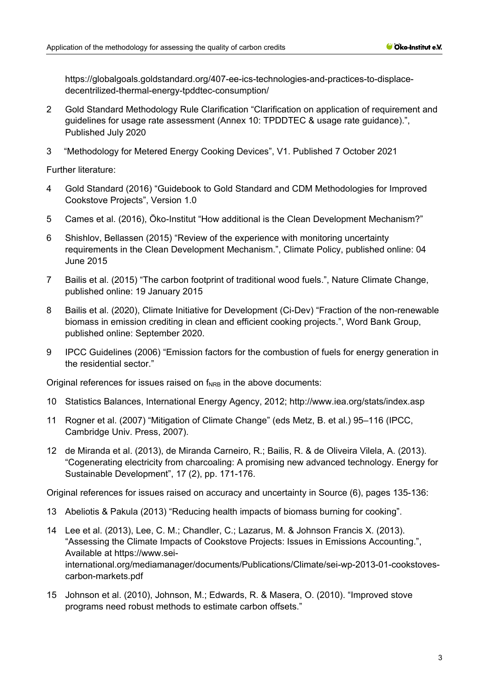[https://globalgoals.goldstandard.org/407-ee-ics-technologies-and-practices-to-displace](https://globalgoals.goldstandard.org/407-ee-ics-technologies-and-practices-to-displace-decentrilized-thermal-energy-tpddtec-consumption/)[decentrilized-thermal-energy-tpddtec-consumption/](https://globalgoals.goldstandard.org/407-ee-ics-technologies-and-practices-to-displace-decentrilized-thermal-energy-tpddtec-consumption/)

- 2 Gold Standard Methodology Rule Clarification "Clarification on application of requirement and guidelines for usage rate assessment (Annex 10: TPDDTEC & usage rate guidance).", Published July 2020
- 3 "Methodology for Metered Energy Cooking Devices", V1. Published 7 October 2021

Further literature:

- 4 Gold Standard (2016) "Guidebook to Gold Standard and CDM Methodologies for Improved Cookstove Projects", Version 1.0
- 5 Cames et al. (2016), Öko-Institut "How additional is the Clean Development Mechanism?"
- 6 Shishlov, Bellassen (2015) "Review of the experience with monitoring uncertainty requirements in the Clean Development Mechanism.", Climate Policy, published online: 04 June 2015
- 7 Bailis et al. (2015) "The carbon footprint of traditional wood fuels.", Nature Climate Change, published online: 19 January 2015
- 8 Bailis et al. (2020), Climate Initiative for Development (Ci-Dev) "Fraction of the non-renewable biomass in emission crediting in clean and efficient cooking projects.", Word Bank Group, published online: September 2020.
- 9 IPCC Guidelines (2006) "Emission factors for the combustion of fuels for energy generation in the residential sector."

Original references for issues raised on  $f_{NRB}$  in the above documents:

- 10 Statistics Balances, International Energy Agency, 2012;<http://www.iea.org/stats/index.asp>
- 11 Rogner et al. (2007) "Mitigation of Climate Change" (eds Metz, B. et al.) 95–116 (IPCC, Cambridge Univ. Press, 2007).
- 12 de Miranda et al. (2013), de Miranda Carneiro, R.; Bailis, R. & de Oliveira Vilela, A. (2013). "Cogenerating electricity from charcoaling: A promising new advanced technology. Energy for Sustainable Development", 17 (2), pp. 171-176.

Original references for issues raised on accuracy and uncertainty in Source (6), pages 135-136:

- 13 Abeliotis & Pakula (2013) "Reducing health impacts of biomass burning for cooking".
- 14 Lee et al. (2013), Lee, C. M.; Chandler, C.; Lazarus, M. & Johnson Francis X. (2013). "Assessing the Climate Impacts of Cookstove Projects: Issues in Emissions Accounting.", Available at https://www.seiinternational.org/mediamanager/documents/Publications/Climate/sei-wp-2013-01-cookstovescarbon-markets.pdf
- 15 Johnson et al. (2010), Johnson, M.; Edwards, R. & Masera, O. (2010). "Improved stove programs need robust methods to estimate carbon offsets."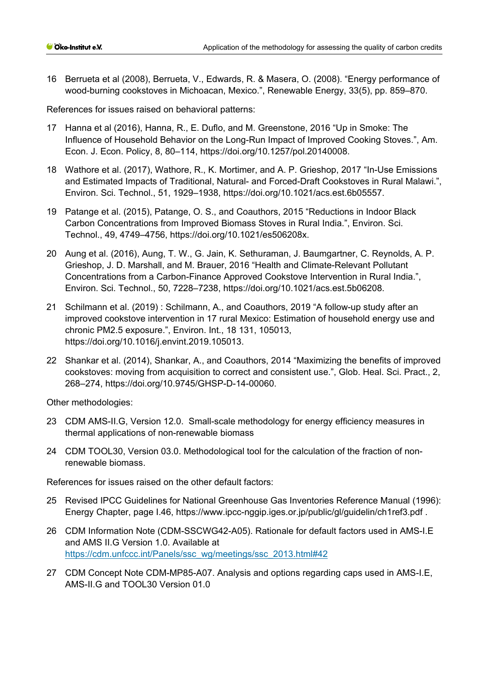16 Berrueta et al (2008), Berrueta, V., Edwards, R. & Masera, O. (2008). "Energy performance of wood-burning cookstoves in Michoacan, Mexico.", Renewable Energy, 33(5), pp. 859–870.

References for issues raised on behavioral patterns:

- 17 Hanna et al (2016), Hanna, R., E. Duflo, and M. Greenstone, 2016 "Up in Smoke: The Influence of Household Behavior on the Long-Run Impact of Improved Cooking Stoves.", Am. Econ. J. Econ. Policy, 8, 80–114, [https://doi.org/10.1257/pol.20140008.](https://doi.org/10.1257/pol.20140008)
- 18 Wathore et al. (2017), Wathore, R., K. Mortimer, and A. P. Grieshop, 2017 "In-Use Emissions and Estimated Impacts of Traditional, Natural- and Forced-Draft Cookstoves in Rural Malawi.", Environ. Sci. Technol., 51, 1929–1938, [https://doi.org/10.1021/acs.est.6b05557.](https://doi.org/10.1021/acs.est.6b05557)
- 19 Patange et al. (2015), Patange, O. S., and Coauthors, 2015 "Reductions in Indoor Black Carbon Concentrations from Improved Biomass Stoves in Rural India.", Environ. Sci. Technol., 49, 4749–4756, [https://doi.org/10.1021/es506208x.](https://doi.org/10.1021/es506208x)
- 20 Aung et al. (2016), Aung, T. W., G. Jain, K. Sethuraman, J. Baumgartner, C. Reynolds, A. P. Grieshop, J. D. Marshall, and M. Brauer, 2016 "Health and Climate-Relevant Pollutant Concentrations from a Carbon-Finance Approved Cookstove Intervention in Rural India.", Environ. Sci. Technol., 50, 7228–7238, [https://doi.org/10.1021/acs.est.5b06208.](https://doi.org/10.1021/acs.est.5b06208)
- 21 Schilmann et al. (2019) : Schilmann, A., and Coauthors, 2019 "A follow-up study after an improved cookstove intervention in 17 rural Mexico: Estimation of household energy use and chronic PM2.5 exposure.", Environ. Int., 18 131, 105013, [https://doi.org/10.1016/j.envint.2019.105013.](https://doi.org/10.1016/j.envint.2019.105013)
- 22 Shankar et al. (2014), Shankar, A., and Coauthors, 2014 "Maximizing the benefits of improved cookstoves: moving from acquisition to correct and consistent use.", Glob. Heal. Sci. Pract., 2, 268–274, [https://doi.org/10.9745/GHSP-D-14-00060.](https://doi.org/10.9745/GHSP-D-14-00060)

Other methodologies:

- 23 CDM AMS-II.G, Version 12.0. Small-scale methodology for energy efficiency measures in thermal applications of non-renewable biomass
- 24 CDM TOOL30, Version 03.0. Methodological tool for the calculation of the fraction of nonrenewable biomass.

References for issues raised on the other default factors:

- 25 Revised IPCC Guidelines for National Greenhouse Gas Inventories Reference Manual (1996): Energy Chapter, page I.46,<https://www.ipcc-nggip.iges.or.jp/public/gl/guidelin/ch1ref3.pdf> .
- 26 CDM Information Note (CDM-SSCWG42-A05). Rationale for default factors used in AMS-I.E and AMS II.G Version 1.0. Available at [https://cdm.unfccc.int/Panels/ssc\\_wg/meetings/ssc\\_2013.html#42](https://cdm.unfccc.int/Panels/ssc_wg/meetings/ssc_2013.html#42)
- 27 CDM Concept Note CDM-MP85-A07. Analysis and options regarding caps used in AMS-I.E, AMS-II.G and TOOL30 Version 01.0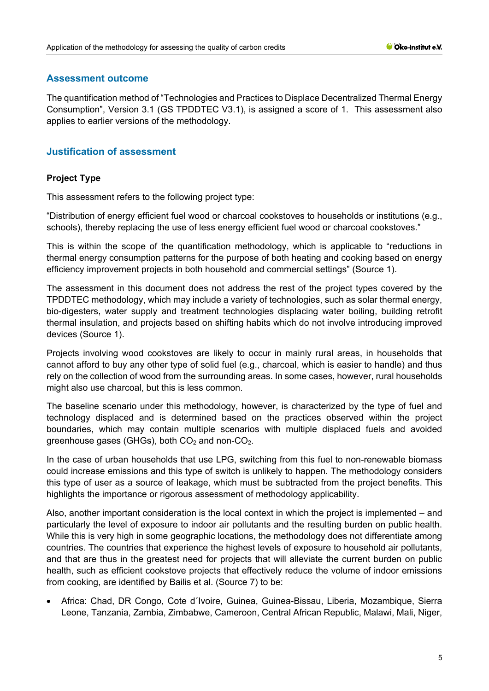## **Assessment outcome**

The quantification method of "Technologies and Practices to Displace Decentralized Thermal Energy Consumption", Version 3.1 (GS TPDDTEC V3.1), is assigned a score of 1. This assessment also applies to earlier versions of the methodology.

# **Justification of assessment**

# **Project Type**

This assessment refers to the following project type:

"Distribution of energy efficient fuel wood or charcoal cookstoves to households or institutions (e.g., schools), thereby replacing the use of less energy efficient fuel wood or charcoal cookstoves."

This is within the scope of the quantification methodology, which is applicable to "reductions in thermal energy consumption patterns for the purpose of both heating and cooking based on energy efficiency improvement projects in both household and commercial settings" (Source 1).

The assessment in this document does not address the rest of the project types covered by the TPDDTEC methodology, which may include a variety of technologies, such as solar thermal energy, bio-digesters, water supply and treatment technologies displacing water boiling, building retrofit thermal insulation, and projects based on shifting habits which do not involve introducing improved devices (Source 1).

Projects involving wood cookstoves are likely to occur in mainly rural areas, in households that cannot afford to buy any other type of solid fuel (e.g., charcoal, which is easier to handle) and thus rely on the collection of wood from the surrounding areas. In some cases, however, rural households might also use charcoal, but this is less common.

The baseline scenario under this methodology, however, is characterized by the type of fuel and technology displaced and is determined based on the practices observed within the project boundaries, which may contain multiple scenarios with multiple displaced fuels and avoided greenhouse gases (GHGs), both  $CO<sub>2</sub>$  and non- $CO<sub>2</sub>$ .

In the case of urban households that use LPG, switching from this fuel to non-renewable biomass could increase emissions and this type of switch is unlikely to happen. The methodology considers this type of user as a source of leakage, which must be subtracted from the project benefits. This highlights the importance or rigorous assessment of methodology applicability.

Also, another important consideration is the local context in which the project is implemented – and particularly the level of exposure to indoor air pollutants and the resulting burden on public health. While this is very high in some geographic locations, the methodology does not differentiate among countries. The countries that experience the highest levels of exposure to household air pollutants, and that are thus in the greatest need for projects that will alleviate the current burden on public health, such as efficient cookstove projects that effectively reduce the volume of indoor emissions from cooking, are identified by Bailis et al. (Source 7) to be:

• Africa: Chad, DR Congo, Cote d´Ivoire, Guinea, Guinea-Bissau, Liberia, Mozambique, Sierra Leone, Tanzania, Zambia, Zimbabwe, Cameroon, Central African Republic, Malawi, Mali, Niger,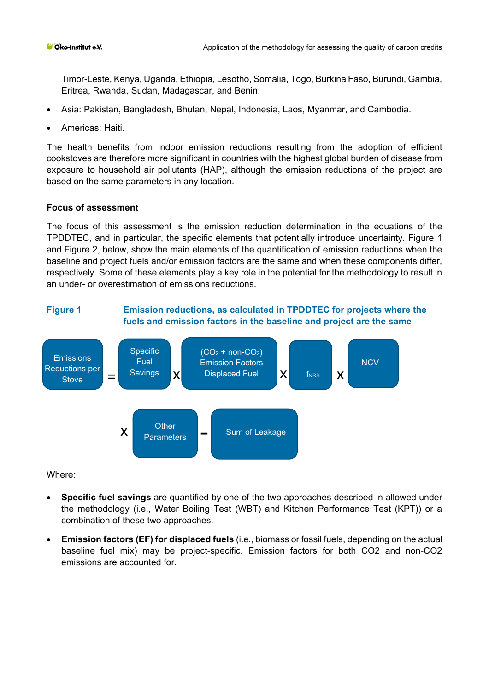Timor-Leste, Kenya, Uganda, Ethiopia, Lesotho, Somalia, Togo, Burkina Faso, Burundi, Gambia, Eritrea, Rwanda, Sudan, Madagascar, and Benin.

- Asia: Pakistan, Bangladesh, Bhutan, Nepal, Indonesia, Laos, Myanmar, and Cambodia.
- Americas: Haiti.

The health benefits from indoor emission reductions resulting from the adoption of efficient cookstoves are therefore more significant in countries with the highest global burden of disease from exposure to household air pollutants (HAP), although the emission reductions of the project are based on the same parameters in any location.

#### **Focus of assessment**

The focus of this assessment is the emission reduction determination in the equations of the TPDDTEC, and in particular, the specific elements that potentially introduce uncertainty. Figure 1 and Figure 2, below, show the main elements of the quantification of emission reductions when the baseline and project fuels and/or emission factors are the same and when these components differ, respectively. Some of these elements play a key role in the potential for the methodology to result in an under- or overestimation of emissions reductions.



Where:

- **Specific fuel savings** are quantified by one of the two approaches described in allowed under the methodology (i.e., Water Boiling Test (WBT) and Kitchen Performance Test (KPT)) or a combination of these two approaches.
- **Emission factors (EF) for displaced fuels** (i.e., biomass or fossil fuels, depending on the actual baseline fuel mix) may be project-specific. Emission factors for both CO2 and non-CO2 emissions are accounted for.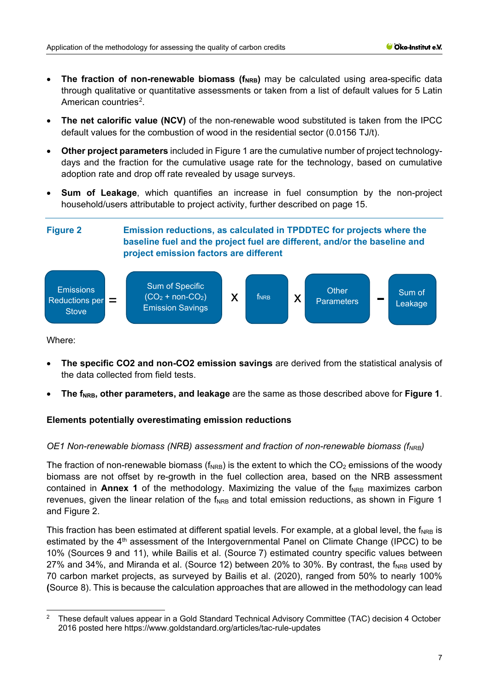- The fraction of non-renewable biomass (f<sub>NRB</sub>) may be calculated using area-specific data through qualitative or quantitative assessments or taken from a list of default values for 5 Latin American countries<sup>[2](#page-6-0)</sup>.
- **The net calorific value (NCV)** of the non-renewable wood substituted is taken from the IPCC default values for the combustion of wood in the residential sector (0.0156 TJ/t).
- **Other project parameters** included in Figure 1 are the cumulative number of project technologydays and the fraction for the cumulative usage rate for the technology, based on cumulative adoption rate and drop off rate revealed by usage surveys.
- **Sum of Leakage**, which quantifies an increase in fuel consumption by the non-project household/users attributable to project activity, further described on page 15.



Where:

- **The specific CO2 and non-CO2 emission savings** are derived from the statistical analysis of the data collected from field tests.
- The f<sub>NRB</sub>, other parameters, and leakage are the same as those described above for Figure 1.

## **Elements potentially overestimating emission reductions**

## *OE1 Non-renewable biomass (NRB) assessment and fraction of non-renewable biomass (f<sub>NRB</sub>)*

The fraction of non-renewable biomass ( $f_{NRB}$ ) is the extent to which the CO<sub>2</sub> emissions of the woody biomass are not offset by re-growth in the fuel collection area, based on the NRB assessment contained in **Annex 1** of the methodology. Maximizing the value of the  $f_{NRB}$  maximizes carbon revenues, given the linear relation of the  $f_{NRR}$  and total emission reductions, as shown in Figure 1 and Figure 2.

This fraction has been estimated at different spatial levels. For example, at a global level, the  $f_{NRB}$  is estimated by the 4<sup>th</sup> assessment of the Intergovernmental Panel on Climate Change (IPCC) to be 10% (Sources 9 and 11), while Bailis et al. (Source 7) estimated country specific values between 27% and 34%, and Miranda et al. (Source 12) between 20% to 30%. By contrast, the f<sub>NRB</sub> used by 70 carbon market projects, as surveyed by Bailis et al. (2020), ranged from 50% to nearly 100% **(**Source 8). This is because the calculation approaches that are allowed in the methodology can lead

<span id="page-6-0"></span><sup>&</sup>lt;sup>2</sup> These default values appear in a Gold Standard Technical Advisory Committee (TAC) decision 4 October 2016 posted here https://www.goldstandard.org/articles/tac-rule-updates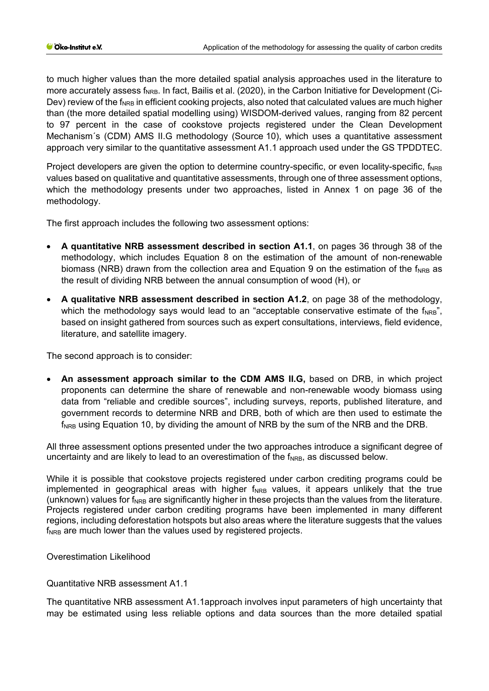to much higher values than the more detailed spatial analysis approaches used in the literature to more accurately assess f<sub>NRB</sub>. In fact, Bailis et al. (2020), in the Carbon Initiative for Development (Ci-Dev) review of the  $f_{NRB}$  in efficient cooking projects, also noted that calculated values are much higher than (the more detailed spatial modelling using) WISDOM-derived values, ranging from 82 percent to 97 percent in the case of cookstove projects registered under the Clean Development Mechanism´s (CDM) AMS II.G methodology (Source 10), which uses a quantitative assessment approach very similar to the quantitative assessment A1.1 approach used under the GS TPDDTEC.

Project developers are given the option to determine country-specific, or even locality-specific,  $f_{NRR}$ values based on qualitative and quantitative assessments, through one of three assessment options, which the methodology presents under two approaches, listed in Annex 1 on page 36 of the methodology.

The first approach includes the following two assessment options:

- **A quantitative NRB assessment described in section A1.1**, on pages 36 through 38 of the methodology, which includes Equation 8 on the estimation of the amount of non-renewable biomass (NRB) drawn from the collection area and Equation 9 on the estimation of the f<sub>NRB</sub> as the result of dividing NRB between the annual consumption of wood (H), or
- **A qualitative NRB assessment described in section A1.2**, on page 38 of the methodology, which the methodology says would lead to an "acceptable conservative estimate of the  $f_{NRB}$ ", based on insight gathered from sources such as expert consultations, interviews, field evidence, literature, and satellite imagery.

The second approach is to consider:

• **An assessment approach similar to the CDM AMS II.G,** based on DRB, in which project proponents can determine the share of renewable and non-renewable woody biomass using data from "reliable and credible sources", including surveys, reports, published literature, and government records to determine NRB and DRB, both of which are then used to estimate the  $f_{NRB}$  using Equation 10, by dividing the amount of NRB by the sum of the NRB and the DRB.

All three assessment options presented under the two approaches introduce a significant degree of uncertainty and are likely to lead to an overestimation of the f<sub>NRB</sub>, as discussed below.

While it is possible that cookstove projects registered under carbon crediting programs could be implemented in geographical areas with higher  $f_{NRB}$  values, it appears unlikely that the true (unknown) values for  $f_{NRB}$  are significantly higher in these projects than the values from the literature. Projects registered under carbon crediting programs have been implemented in many different regions, including deforestation hotspots but also areas where the literature suggests that the values  $f_{NRB}$  are much lower than the values used by registered projects.

Overestimation Likelihood

Quantitative NRB assessment A1.1

The quantitative NRB assessment A1.1approach involves input parameters of high uncertainty that may be estimated using less reliable options and data sources than the more detailed spatial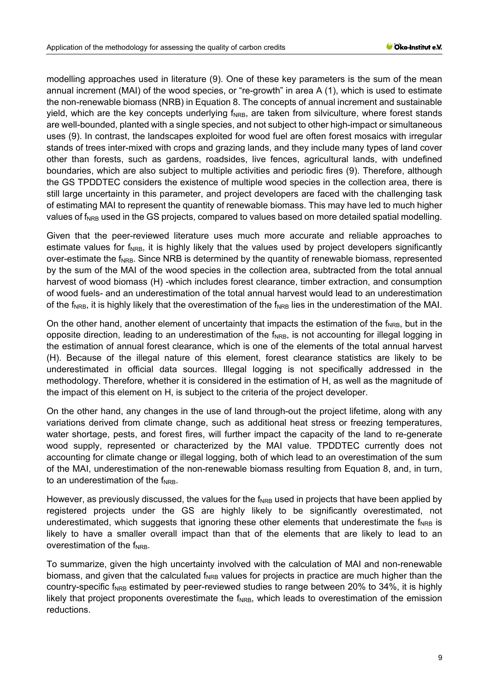modelling approaches used in literature (9). One of these key parameters is the sum of the mean annual increment (MAI) of the wood species, or "re-growth" in area A (1), which is used to estimate the non-renewable biomass (NRB) in Equation 8. The concepts of annual increment and sustainable yield, which are the key concepts underlying  $f_{NRB}$ , are taken from silviculture, where forest stands are well-bounded, planted with a single species, and not subject to other high-impact or simultaneous uses (9). In contrast, the landscapes exploited for wood fuel are often forest mosaics with irregular stands of trees inter-mixed with crops and grazing lands, and they include many types of land cover other than forests, such as gardens, roadsides, live fences, agricultural lands, with undefined boundaries, which are also subject to multiple activities and periodic fires (9). Therefore, although the GS TPDDTEC considers the existence of multiple wood species in the collection area, there is still large uncertainty in this parameter, and project developers are faced with the challenging task of estimating MAI to represent the quantity of renewable biomass. This may have led to much higher values of f<sub>NRB</sub> used in the GS projects, compared to values based on more detailed spatial modelling.

Given that the peer-reviewed literature uses much more accurate and reliable approaches to estimate values for  $f_{NRB}$ , it is highly likely that the values used by project developers significantly over-estimate the  $f_{NRB}$ . Since NRB is determined by the quantity of renewable biomass, represented by the sum of the MAI of the wood species in the collection area, subtracted from the total annual harvest of wood biomass (H) -which includes forest clearance, timber extraction, and consumption of wood fuels- and an underestimation of the total annual harvest would lead to an underestimation of the f<sub>NRB</sub>, it is highly likely that the overestimation of the f<sub>NRB</sub> lies in the underestimation of the MAI.

On the other hand, another element of uncertainty that impacts the estimation of the  $f_{NRB}$ , but in the opposite direction, leading to an underestimation of the  $f_{NRB}$ , is not accounting for illegal logging in the estimation of annual forest clearance, which is one of the elements of the total annual harvest (H). Because of the illegal nature of this element, forest clearance statistics are likely to be underestimated in official data sources. Illegal logging is not specifically addressed in the methodology. Therefore, whether it is considered in the estimation of H, as well as the magnitude of the impact of this element on H, is subject to the criteria of the project developer.

On the other hand, any changes in the use of land through-out the project lifetime, along with any variations derived from climate change, such as additional heat stress or freezing temperatures, water shortage, pests, and forest fires, will further impact the capacity of the land to re-generate wood supply, represented or characterized by the MAI value. TPDDTEC currently does not accounting for climate change or illegal logging, both of which lead to an overestimation of the sum of the MAI, underestimation of the non-renewable biomass resulting from Equation 8, and, in turn, to an underestimation of the  $f_{NRB}$ .

However, as previously discussed, the values for the f<sub>NRB</sub> used in projects that have been applied by registered projects under the GS are highly likely to be significantly overestimated, not underestimated, which suggests that ignoring these other elements that underestimate the  $f_{NRB}$  is likely to have a smaller overall impact than that of the elements that are likely to lead to an overestimation of the  $f_{NRR}$ .

To summarize, given the high uncertainty involved with the calculation of MAI and non-renewable biomass, and given that the calculated  $f_{NRB}$  values for projects in practice are much higher than the country-specific f<sub>NRB</sub> estimated by peer-reviewed studies to range between 20% to 34%, it is highly likely that project proponents overestimate the  $f_{NRB}$ , which leads to overestimation of the emission reductions.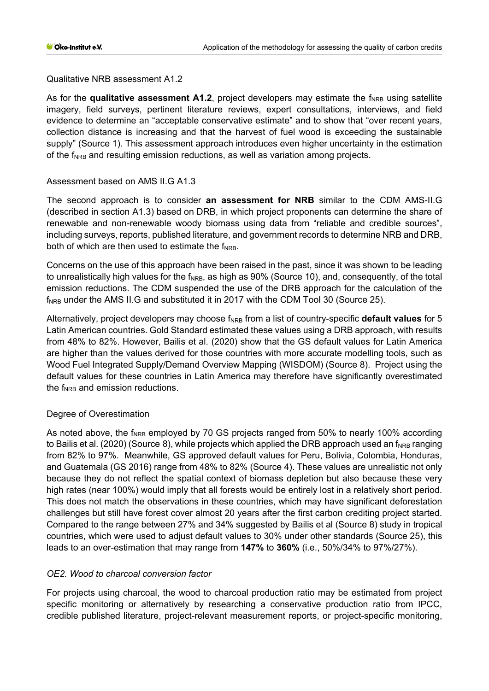Qualitative NRB assessment A1.2

As for the **qualitative assessment A1.2**, project developers may estimate the f<sub>NRB</sub> using satellite imagery, field surveys, pertinent literature reviews, expert consultations, interviews, and field evidence to determine an "acceptable conservative estimate" and to show that "over recent years, collection distance is increasing and that the harvest of fuel wood is exceeding the sustainable supply" (Source 1). This assessment approach introduces even higher uncertainty in the estimation of the f<sub>NRB</sub> and resulting emission reductions, as well as variation among projects.

## Assessment based on AMS II.G A1.3

The second approach is to consider **an assessment for NRB** similar to the CDM AMS-II.G (described in section A1.3) based on DRB, in which project proponents can determine the share of renewable and non-renewable woody biomass using data from "reliable and credible sources", including surveys, reports, published literature, and government records to determine NRB and DRB, both of which are then used to estimate the  $f_{NRB}$ .

Concerns on the use of this approach have been raised in the past, since it was shown to be leading to unrealistically high values for the f<sub>NRB</sub>, as high as 90% (Source 10), and, consequently, of the total emission reductions. The CDM suspended the use of the DRB approach for the calculation of the  $f_{NRB}$  under the AMS II.G and substituted it in 2017 with the CDM Tool 30 (Source 25).

Alternatively, project developers may choose f<sub>NRB</sub> from a list of country-specific **default values** for 5 Latin American countries. Gold Standard estimated these values using a DRB approach, with results from 48% to 82%. However, Bailis et al. (2020) show that the GS default values for Latin America are higher than the values derived for those countries with more accurate modelling tools, such as Wood Fuel Integrated Supply/Demand Overview Mapping (WISDOM) (Source 8). Project using the default values for these countries in Latin America may therefore have significantly overestimated the  $f_{NRB}$  and emission reductions.

## Degree of Overestimation

As noted above, the  $f_{NRB}$  employed by 70 GS projects ranged from 50% to nearly 100% according to Bailis et al. (2020) (Source 8), while projects which applied the DRB approach used an  $f_{NRB}$  ranging from 82% to 97%. Meanwhile, GS approved default values for Peru, Bolivia, Colombia, Honduras, and Guatemala (GS 2016) range from 48% to 82% (Source 4). These values are unrealistic not only because they do not reflect the spatial context of biomass depletion but also because these very high rates (near 100%) would imply that all forests would be entirely lost in a relatively short period. This does not match the observations in these countries, which may have significant deforestation challenges but still have forest cover almost 20 years after the first carbon crediting project started. Compared to the range between 27% and 34% suggested by Bailis et al (Source 8) study in tropical countries, which were used to adjust default values to 30% under other standards (Source 25), this leads to an over-estimation that may range from **147%** to **360%** (i.e., 50%/34% to 97%/27%).

## *OE2. Wood to charcoal conversion factor*

For projects using charcoal, the wood to charcoal production ratio may be estimated from project specific monitoring or alternatively by researching a conservative production ratio from IPCC, credible published literature, project-relevant measurement reports, or project-specific monitoring,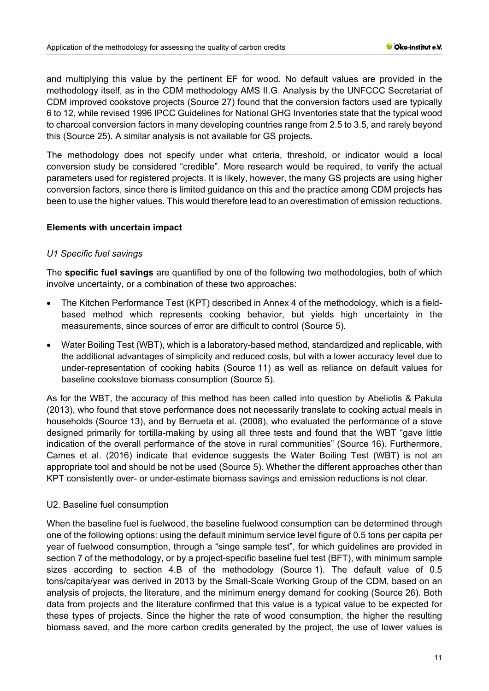and multiplying this value by the pertinent EF for wood. No default values are provided in the methodology itself, as in the CDM methodology AMS II.G. Analysis by the UNFCCC Secretariat of CDM improved cookstove projects (Source 27) found that the conversion factors used are typically 6 to 12, while revised 1996 IPCC Guidelines for National GHG Inventories state that the typical wood to charcoal conversion factors in many developing countries range from 2.5 to 3.5, and rarely beyond this (Source 25). A similar analysis is not available for GS projects.

The methodology does not specify under what criteria, threshold, or indicator would a local conversion study be considered "credible". More research would be required, to verify the actual parameters used for registered projects. It is likely, however, the many GS projects are using higher conversion factors, since there is limited guidance on this and the practice among CDM projects has been to use the higher values. This would therefore lead to an overestimation of emission reductions.

## **Elements with uncertain impact**

#### *U1 Specific fuel savings*

The **specific fuel savings** are quantified by one of the following two methodologies, both of which involve uncertainty, or a combination of these two approaches:

- The Kitchen Performance Test (KPT) described in Annex 4 of the methodology, which is a fieldbased method which represents cooking behavior, but yields high uncertainty in the measurements, since sources of error are difficult to control (Source 5).
- Water Boiling Test (WBT), which is a laboratory-based method, standardized and replicable, with the additional advantages of simplicity and reduced costs, but with a lower accuracy level due to under-representation of cooking habits (Source 11) as well as reliance on default values for baseline cookstove biomass consumption (Source 5).

As for the WBT, the accuracy of this method has been called into question by Abeliotis & Pakula (2013), who found that stove performance does not necessarily translate to cooking actual meals in households (Source 13), and by Berrueta et al. (2008), who evaluated the performance of a stove designed primarily for tortilla-making by using all three tests and found that the WBT "gave little indication of the overall performance of the stove in rural communities" (Source 16). Furthermore, Cames et al. (2016) indicate that evidence suggests the Water Boiling Test (WBT) is not an appropriate tool and should be not be used (Source 5). Whether the different approaches other than KPT consistently over- or under-estimate biomass savings and emission reductions is not clear.

#### U2. Baseline fuel consumption

When the baseline fuel is fuelwood, the baseline fuelwood consumption can be determined through one of the following options: using the default minimum service level figure of 0.5 tons per capita per year of fuelwood consumption, through a "singe sample test", for which guidelines are provided in section 7 of the methodology, or by a project-specific baseline fuel test (BFT), with minimum sample sizes according to section 4.B of the methodology (Source 1). The default value of 0.5 tons/capita/year was derived in 2013 by the Small-Scale Working Group of the CDM, based on an analysis of projects, the literature, and the minimum energy demand for cooking (Source 26). Both data from projects and the literature confirmed that this value is a typical value to be expected for these types of projects. Since the higher the rate of wood consumption, the higher the resulting biomass saved, and the more carbon credits generated by the project, the use of lower values is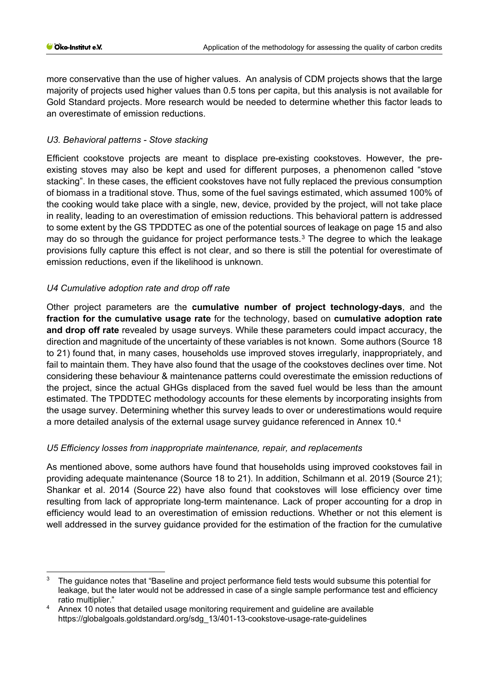more conservative than the use of higher values. An analysis of CDM projects shows that the large majority of projects used higher values than 0.5 tons per capita, but this analysis is not available for Gold Standard projects. More research would be needed to determine whether this factor leads to an overestimate of emission reductions.

## *U3. Behavioral patterns - Stove stacking*

Efficient cookstove projects are meant to displace pre-existing cookstoves. However, the preexisting stoves may also be kept and used for different purposes, a phenomenon called "stove stacking". In these cases, the efficient cookstoves have not fully replaced the previous consumption of biomass in a traditional stove. Thus, some of the fuel savings estimated, which assumed 100% of the cooking would take place with a single, new, device, provided by the project, will not take place in reality, leading to an overestimation of emission reductions. This behavioral pattern is addressed to some extent by the GS TPDDTEC as one of the potential sources of leakage on page 15 and also may do so through the guidance for project performance tests.<sup>[3](#page-11-0)</sup> The degree to which the leakage provisions fully capture this effect is not clear, and so there is still the potential for overestimate of emission reductions, even if the likelihood is unknown.

## *U4 Cumulative adoption rate and drop off rate*

Other project parameters are the **cumulative number of project technology-days**, and the **fraction for the cumulative usage rate** for the technology, based on **cumulative adoption rate and drop off rate** revealed by usage surveys. While these parameters could impact accuracy, the direction and magnitude of the uncertainty of these variables is not known. Some authors (Source 18 to 21) found that, in many cases, households use improved stoves irregularly, inappropriately, and fail to maintain them. They have also found that the usage of the cookstoves declines over time. Not considering these behaviour & maintenance patterns could overestimate the emission reductions of the project, since the actual GHGs displaced from the saved fuel would be less than the amount estimated. The TPDDTEC methodology accounts for these elements by incorporating insights from the usage survey. Determining whether this survey leads to over or underestimations would require a more detailed analysis of the external usage survey guidance referenced in Annex 10.[4](#page-11-1)

## *U5 Efficiency losses from inappropriate maintenance, repair, and replacements*

As mentioned above, some authors have found that households using improved cookstoves fail in providing adequate maintenance (Source 18 to 21). In addition, Schilmann et al. 2019 (Source 21); Shankar et al. 2014 (Source 22) have also found that cookstoves will lose efficiency over time resulting from lack of appropriate long-term maintenance. Lack of proper accounting for a drop in efficiency would lead to an overestimation of emission reductions. Whether or not this element is well addressed in the survey guidance provided for the estimation of the fraction for the cumulative

<span id="page-11-0"></span><sup>&</sup>lt;sup>3</sup> The guidance notes that "Baseline and project performance field tests would subsume this potential for leakage, but the later would not be addressed in case of a single sample performance test and efficiency ratio multiplier."

<span id="page-11-1"></span><sup>4</sup> Annex 10 notes that detailed usage monitoring requirement and guideline are available https://globalgoals.goldstandard.org/sdg\_13/401-13-cookstove-usage-rate-guidelines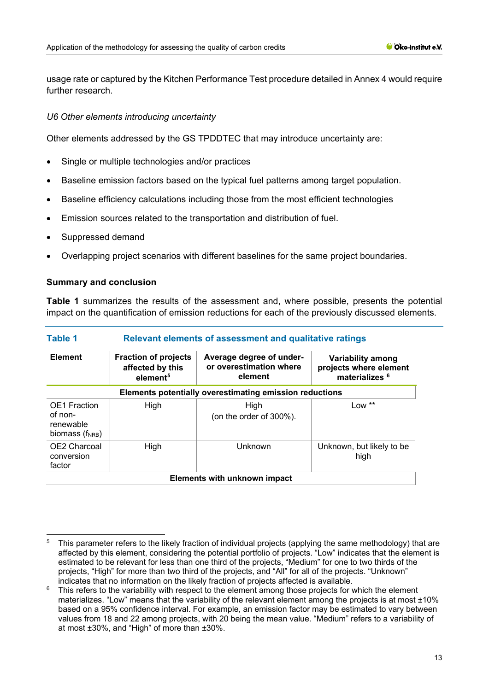usage rate or captured by the Kitchen Performance Test procedure detailed in Annex 4 would require further research.

#### *U6 Other elements introducing uncertainty*

Other elements addressed by the GS TPDDTEC that may introduce uncertainty are:

- Single or multiple technologies and/or practices
- Baseline emission factors based on the typical fuel patterns among target population.
- Baseline efficiency calculations including those from the most efficient technologies
- Emission sources related to the transportation and distribution of fuel.
- Suppressed demand
- Overlapping project scenarios with different baselines for the same project boundaries.

#### **Summary and conclusion**

**Table 1** summarizes the results of the assessment and, where possible, presents the potential impact on the quantification of emission reductions for each of the previously discussed elements.

| Table 1                                                                    | Relevant elements of assessment and qualitative ratings                 |                                                                |                                                                          |  |  |
|----------------------------------------------------------------------------|-------------------------------------------------------------------------|----------------------------------------------------------------|--------------------------------------------------------------------------|--|--|
| <b>Element</b>                                                             | <b>Fraction of projects</b><br>affected by this<br>element <sup>5</sup> | Average degree of under-<br>or overestimation where<br>element | Variability among<br>projects where element<br>materializes <sup>6</sup> |  |  |
| Elements potentially overestimating emission reductions                    |                                                                         |                                                                |                                                                          |  |  |
| <b>OE1</b> Fraction<br>of non-<br>renewable<br>biomass (f <sub>NRB</sub> ) | High                                                                    | High<br>(on the order of $300\%$ ).                            | Low $**$                                                                 |  |  |
| OE2 Charcoal<br>conversion<br>factor                                       | High                                                                    | Unknown                                                        | Unknown, but likely to be<br>high                                        |  |  |
|                                                                            |                                                                         | Elements with unknown impact                                   |                                                                          |  |  |

<span id="page-12-0"></span><sup>5</sup> This parameter refers to the likely fraction of individual projects (applying the same methodology) that are affected by this element, considering the potential portfolio of projects. "Low" indicates that the element is estimated to be relevant for less than one third of the projects, "Medium" for one to two thirds of the projects, "High" for more than two third of the projects, and "All" for all of the projects. "Unknown" indicates that no information on the likely fraction of projects affected is available.

<span id="page-12-1"></span> $6$  This refers to the variability with respect to the element among those projects for which the element materializes. "Low" means that the variability of the relevant element among the projects is at most ±10% based on a 95% confidence interval. For example, an emission factor may be estimated to vary between values from 18 and 22 among projects, with 20 being the mean value. "Medium" refers to a variability of at most ±30%, and "High" of more than ±30%.